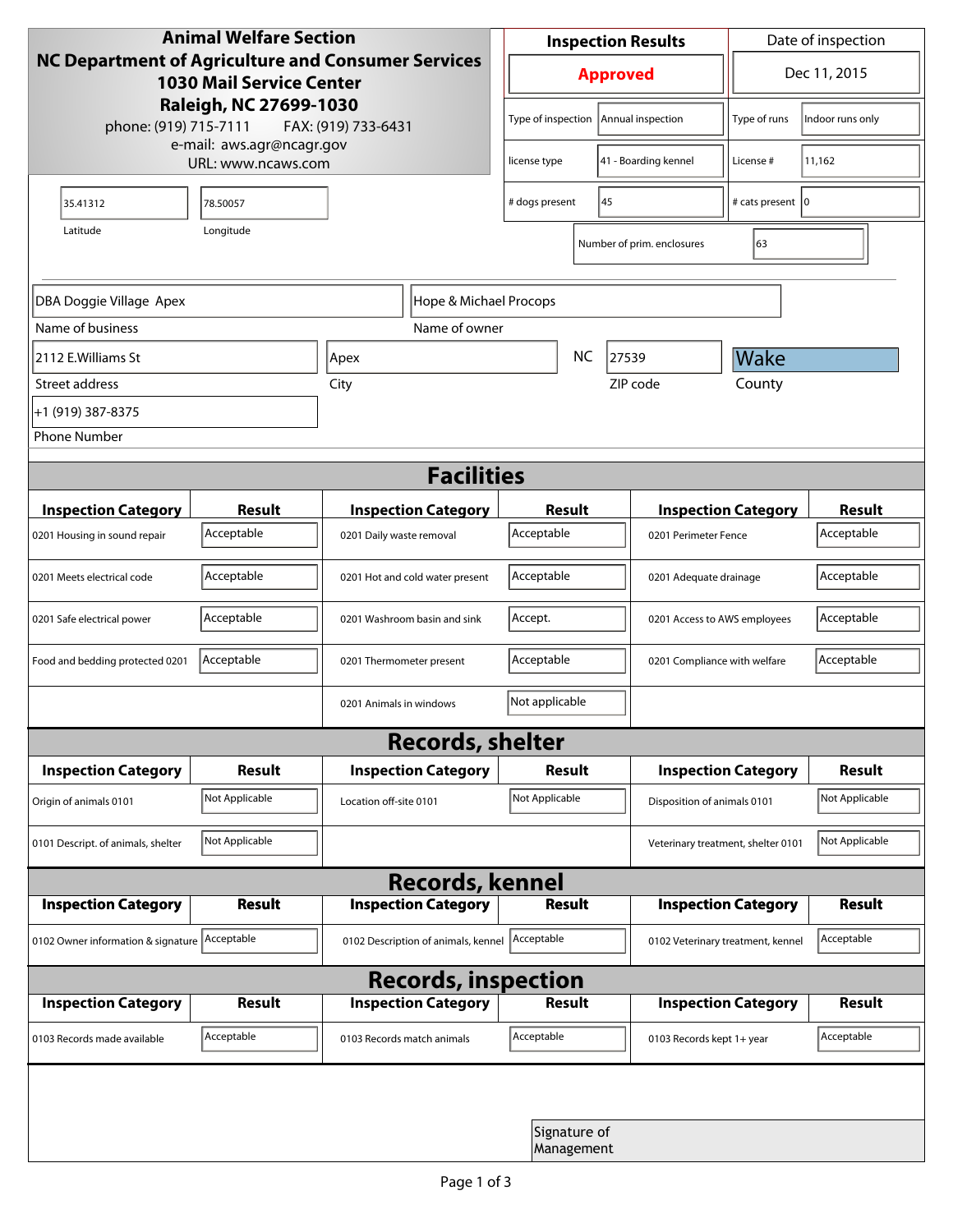| <b>Animal Welfare Section</b><br>NC Department of Agriculture and Consumer Services<br><b>1030 Mail Service Center</b> |                |                                 |                                          | <b>Inspection Results</b>  |    |                                    | Date of inspection           |                  |
|------------------------------------------------------------------------------------------------------------------------|----------------|---------------------------------|------------------------------------------|----------------------------|----|------------------------------------|------------------------------|------------------|
|                                                                                                                        |                |                                 |                                          | <b>Approved</b>            |    |                                    | Dec 11, 2015                 |                  |
| Raleigh, NC 27699-1030<br>phone: (919) 715-7111<br>FAX: (919) 733-6431                                                 |                |                                 |                                          | Type of inspection         |    | Annual inspection                  | Type of runs                 | Indoor runs only |
| e-mail: aws.agr@ncagr.gov<br>URL: www.ncaws.com                                                                        |                |                                 |                                          | license type               |    | 41 - Boarding kennel               | License #                    | 11,162           |
| 35.41312                                                                                                               | 78.50057       |                                 | # dogs present                           |                            | 45 | # cats present   0                 |                              |                  |
| Longitude<br>Latitude                                                                                                  |                |                                 |                                          |                            |    | Number of prim. enclosures         | 63                           |                  |
| DBA Doggie Village Apex<br>Hope & Michael Procops                                                                      |                |                                 |                                          |                            |    |                                    |                              |                  |
| Name of business                                                                                                       |                |                                 | Name of owner                            |                            |    |                                    |                              |                  |
| 2112 E.Williams St                                                                                                     |                | Apex                            |                                          |                            | NC | 27539                              | Wake                         |                  |
| Street address                                                                                                         |                | City                            |                                          |                            |    | ZIP code                           | County                       |                  |
| +1 (919) 387-8375                                                                                                      |                |                                 |                                          |                            |    |                                    |                              |                  |
| <b>Phone Number</b>                                                                                                    |                |                                 |                                          |                            |    |                                    |                              |                  |
| <b>Facilities</b>                                                                                                      |                |                                 |                                          |                            |    |                                    |                              |                  |
| <b>Inspection Category</b>                                                                                             | <b>Result</b>  |                                 | <b>Inspection Category</b>               | Result                     |    |                                    | <b>Inspection Category</b>   | <b>Result</b>    |
| 0201 Housing in sound repair                                                                                           | Acceptable     | 0201 Daily waste removal        |                                          | Acceptable                 |    |                                    | 0201 Perimeter Fence         |                  |
| 0201 Meets electrical code                                                                                             | Acceptable     | 0201 Hot and cold water present |                                          | Acceptable                 |    |                                    | 0201 Adequate drainage       |                  |
| 0201 Safe electrical power                                                                                             | Acceptable     | 0201 Washroom basin and sink    |                                          | Accept.                    |    |                                    | 0201 Access to AWS employees |                  |
| Food and bedding protected 0201                                                                                        | Acceptable     | 0201 Thermometer present        |                                          | Acceptable                 |    |                                    | 0201 Compliance with welfare |                  |
|                                                                                                                        |                | 0201 Animals in windows         |                                          | Not applicable             |    |                                    |                              |                  |
| <b>Records, shelter</b>                                                                                                |                |                                 |                                          |                            |    |                                    |                              |                  |
| <b>Inspection Category</b>                                                                                             | <b>Result</b>  |                                 | <b>Inspection Category</b>               | Result                     |    |                                    | <b>Inspection Category</b>   | <b>Result</b>    |
| Origin of animals 0101                                                                                                 | Not Applicable |                                 | Not Applicable<br>Location off-site 0101 |                            |    | Disposition of animals 0101        |                              |                  |
| 0101 Descript. of animals, shelter                                                                                     | Not Applicable |                                 |                                          |                            |    | Veterinary treatment, shelter 0101 |                              | Not Applicable   |
| <b>Records, kennel</b>                                                                                                 |                |                                 |                                          |                            |    |                                    |                              |                  |
| <b>Inspection Category</b>                                                                                             | Result         |                                 | <b>Inspection Category</b>               | <b>Result</b>              |    |                                    | <b>Inspection Category</b>   | Result           |
| 0102 Owner information & signature Acceptable                                                                          |                |                                 | 0102 Description of animals, kennel      | Acceptable                 |    | 0102 Veterinary treatment, kennel  |                              | Acceptable       |
| <b>Records, inspection</b>                                                                                             |                |                                 |                                          |                            |    |                                    |                              |                  |
| <b>Inspection Category</b>                                                                                             | <b>Result</b>  |                                 | <b>Inspection Category</b>               | Result                     |    |                                    | <b>Inspection Category</b>   | <b>Result</b>    |
| 0103 Records made available                                                                                            | Acceptable     | 0103 Records match animals      |                                          | Acceptable                 |    | 0103 Records kept 1+ year          |                              | Acceptable       |
|                                                                                                                        |                |                                 |                                          |                            |    |                                    |                              |                  |
|                                                                                                                        |                |                                 |                                          | Signature of<br>Management |    |                                    |                              |                  |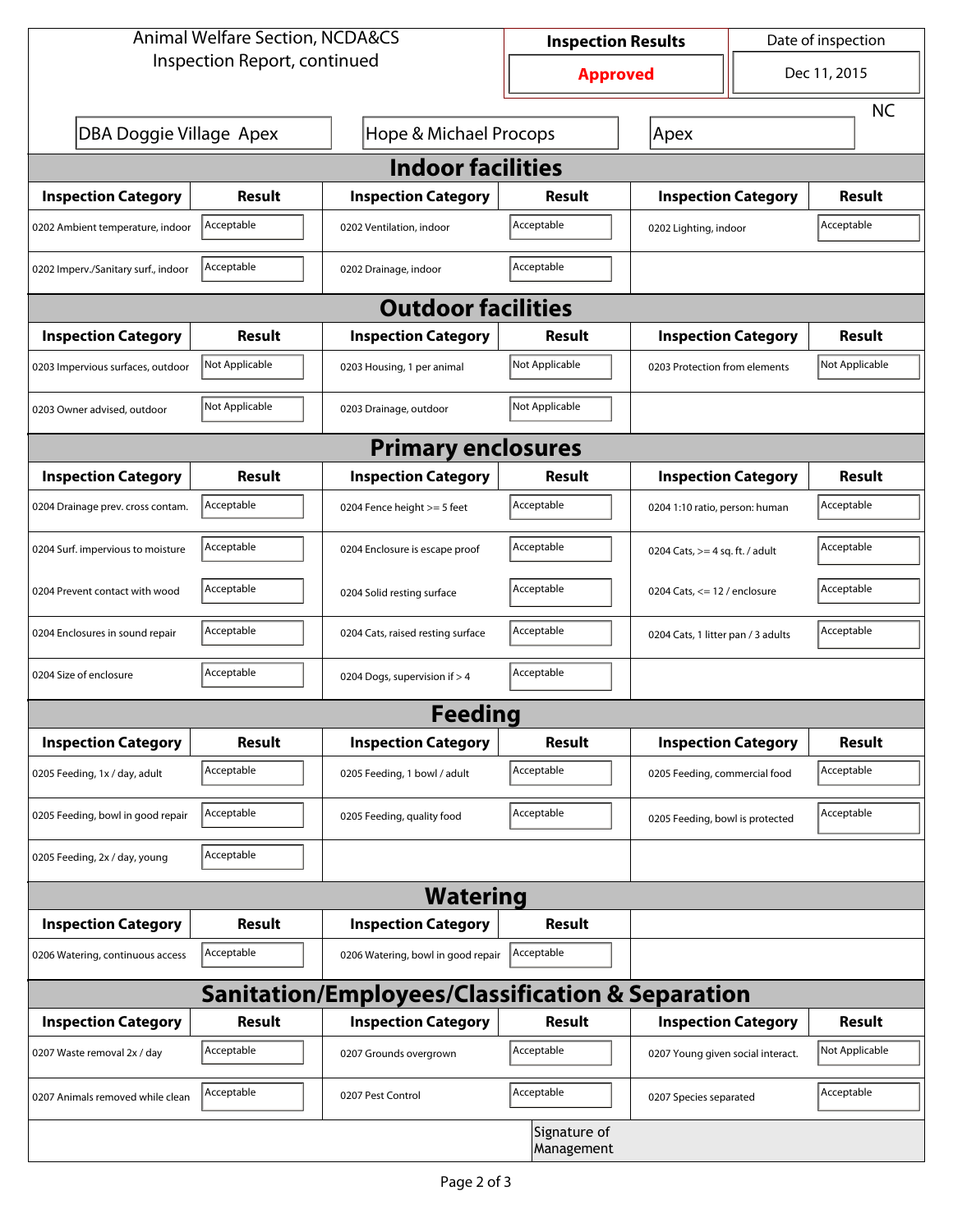| <b>Animal Welfare Section, NCDA&amp;CS</b>                  |                                                              |                                    | <b>Inspection Results</b> |                                     | Date of inspection |                |  |  |  |
|-------------------------------------------------------------|--------------------------------------------------------------|------------------------------------|---------------------------|-------------------------------------|--------------------|----------------|--|--|--|
| Inspection Report, continued                                |                                                              |                                    | <b>Approved</b>           |                                     | Dec 11, 2015       |                |  |  |  |
|                                                             |                                                              |                                    |                           |                                     |                    |                |  |  |  |
|                                                             | DBA Doggie Village Apex<br><b>Hope &amp; Michael Procops</b> |                                    |                           | Apex                                |                    |                |  |  |  |
| <b>Indoor facilities</b>                                    |                                                              |                                    |                           |                                     |                    |                |  |  |  |
| <b>Inspection Category</b>                                  | Result                                                       | <b>Inspection Category</b>         | Result                    | <b>Inspection Category</b>          |                    | Result         |  |  |  |
| 0202 Ambient temperature, indoor                            | Acceptable                                                   | 0202 Ventilation, indoor           | Acceptable                | Acceptable<br>0202 Lighting, indoor |                    |                |  |  |  |
| 0202 Imperv./Sanitary surf., indoor                         | Acceptable                                                   | 0202 Drainage, indoor              | Acceptable                |                                     |                    |                |  |  |  |
| <b>Outdoor facilities</b>                                   |                                                              |                                    |                           |                                     |                    |                |  |  |  |
| <b>Inspection Category</b>                                  | Result                                                       | <b>Inspection Category</b>         | Result                    | <b>Inspection Category</b>          |                    | Result         |  |  |  |
| 0203 Impervious surfaces, outdoor                           | Not Applicable                                               | 0203 Housing, 1 per animal         | Not Applicable            | 0203 Protection from elements       |                    | Not Applicable |  |  |  |
| 0203 Owner advised, outdoor                                 | Not Applicable                                               | 0203 Drainage, outdoor             | Not Applicable            |                                     |                    |                |  |  |  |
| <b>Primary enclosures</b>                                   |                                                              |                                    |                           |                                     |                    |                |  |  |  |
| <b>Inspection Category</b>                                  | Result                                                       | <b>Inspection Category</b>         | Result                    | <b>Inspection Category</b>          |                    | Result         |  |  |  |
| 0204 Drainage prev. cross contam.                           | Acceptable                                                   | 0204 Fence height >= 5 feet        | Acceptable                | 0204 1:10 ratio, person: human      |                    | Acceptable     |  |  |  |
| 0204 Surf. impervious to moisture                           | Acceptable                                                   | 0204 Enclosure is escape proof     | Acceptable                | 0204 Cats, $>=$ 4 sq. ft. / adult   |                    | Acceptable     |  |  |  |
| 0204 Prevent contact with wood                              | Acceptable                                                   | 0204 Solid resting surface         | Acceptable                | 0204 Cats, $<= 12$ / enclosure      |                    | Acceptable     |  |  |  |
| 0204 Enclosures in sound repair                             | Acceptable                                                   | 0204 Cats, raised resting surface  | Acceptable                | 0204 Cats, 1 litter pan / 3 adults  |                    | Acceptable     |  |  |  |
| 0204 Size of enclosure                                      | Acceptable                                                   | 0204 Dogs, supervision if > 4      | Acceptable                |                                     |                    |                |  |  |  |
|                                                             |                                                              | <b>Feeding</b>                     |                           |                                     |                    |                |  |  |  |
| <b>Inspection Category</b>                                  | <b>Result</b>                                                | <b>Inspection Category</b>         | Result                    | <b>Inspection Category</b>          |                    | <b>Result</b>  |  |  |  |
| 0205 Feeding, 1x / day, adult                               | Acceptable                                                   | 0205 Feeding, 1 bowl / adult       | Acceptable                | 0205 Feeding, commercial food       |                    | Acceptable     |  |  |  |
| 0205 Feeding, bowl in good repair                           | Acceptable                                                   | 0205 Feeding, quality food         | Acceptable                | 0205 Feeding, bowl is protected     |                    | Acceptable     |  |  |  |
| 0205 Feeding, 2x / day, young                               | Acceptable                                                   |                                    |                           |                                     |                    |                |  |  |  |
| <b>Watering</b>                                             |                                                              |                                    |                           |                                     |                    |                |  |  |  |
| <b>Inspection Category</b>                                  | <b>Result</b>                                                | <b>Inspection Category</b>         | <b>Result</b>             |                                     |                    |                |  |  |  |
| 0206 Watering, continuous access                            | Acceptable                                                   | 0206 Watering, bowl in good repair | Acceptable                |                                     |                    |                |  |  |  |
| <b>Sanitation/Employees/Classification &amp; Separation</b> |                                                              |                                    |                           |                                     |                    |                |  |  |  |
| <b>Inspection Category</b>                                  | <b>Result</b>                                                | <b>Inspection Category</b>         | Result                    | <b>Inspection Category</b>          |                    | <b>Result</b>  |  |  |  |
| 0207 Waste removal 2x / day                                 | Acceptable                                                   | 0207 Grounds overgrown             | Acceptable                | 0207 Young given social interact.   |                    | Not Applicable |  |  |  |
| 0207 Animals removed while clean                            | Acceptable                                                   | 0207 Pest Control                  | Acceptable                | 0207 Species separated              |                    | Acceptable     |  |  |  |
| Signature of<br>Management                                  |                                                              |                                    |                           |                                     |                    |                |  |  |  |